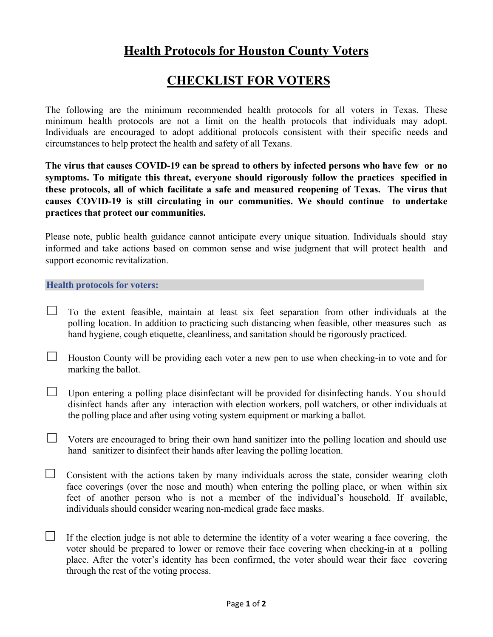## **Health Protocols for Houston County Voters**

## **CHECKLIST FOR VOTERS**

The following are the minimum recommended health protocols for all voters in Texas. These minimum health protocols are not a limit on the health protocols that individuals may adopt. Individuals are encouraged to adopt additional protocols consistent with their specific needs and circumstances to help protect the health and safety of all Texans.

**The virus that causes COVID-19 can be spread to others by infected persons who have few or no symptoms. To mitigate this threat, everyone should rigorously follow the practices specified in these protocols, all of which facilitate a safe and measured reopening of Texas. The virus that causes COVID-19 is still circulating in our communities. We should continue to undertake practices that protect our communities.**

Please note, public health guidance cannot anticipate every unique situation. Individuals should stay informed and take actions based on common sense and wise judgment that will protect health and support economic revitalization.

## **Health protocols for voters:**

- $\Box$  To the extent feasible, maintain at least six feet separation from other individuals at the polling location. In addition to practicing such distancing when feasible, other measures such as hand hygiene, cough etiquette, cleanliness, and sanitation should be rigorously practiced.
- $\Box$  Houston County will be providing each voter a new pen to use when checking-in to vote and for marking the ballot.
- $\Box$  Upon entering a polling place disinfectant will be provided for disinfecting hands. You should disinfect hands after any interaction with election workers, poll watchers, or other individuals at the polling place and after using voting system equipment or marking a ballot.
- $\Box$  Voters are encouraged to bring their own hand sanitizer into the polling location and should use hand sanitizer to disinfect their hands after leaving the polling location.
- $\Box$  Consistent with the actions taken by many individuals across the state, consider wearing cloth face coverings (over the nose and mouth) when entering the polling place, or when within six feet of another person who is not a member of the individual's household. If available, individuals should consider wearing non-medical grade face masks.
- $\Box$  If the election judge is not able to determine the identity of a voter wearing a face covering, the voter should be prepared to lower or remove their face covering when checking-in at a polling place. After the voter's identity has been confirmed, the voter should wear their face covering through the rest of the voting process.